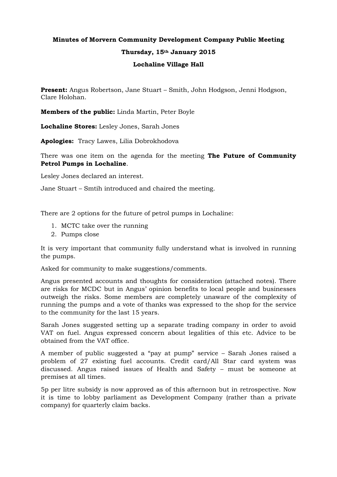## **Minutes of Morvern Community Development Company Public Meeting Thursday, 15th January 2015 Lochaline Village Hall**

**Present:** Angus Robertson, Jane Stuart – Smith, John Hodgson, Jenni Hodgson, Clare Holohan.

**Members of the public:** Linda Martin, Peter Boyle

**Lochaline Stores:** Lesley Jones, Sarah Jones

**Apologies:** Tracy Lawes, Lilia Dobrokhodova

There was one item on the agenda for the meeting **The Future of Community Petrol Pumps in Lochaline**.

Lesley Jones declared an interest.

Jane Stuart – Smtih introduced and chaired the meeting.

There are 2 options for the future of petrol pumps in Lochaline:

- 1. MCTC take over the running
- 2. Pumps close

It is very important that community fully understand what is involved in running the pumps.

Asked for community to make suggestions/comments.

Angus presented accounts and thoughts for consideration (attached notes). There are risks for MCDC but in Angus' opinion benefits to local people and businesses outweigh the risks. Some members are completely unaware of the complexity of running the pumps and a vote of thanks was expressed to the shop for the service to the community for the last 15 years.

Sarah Jones suggested setting up a separate trading company in order to avoid VAT on fuel. Angus expressed concern about legalities of this etc. Advice to be obtained from the VAT office.

A member of public suggested a "pay at pump" service – Sarah Jones raised a problem of 27 existing fuel accounts. Credit card/All Star card system was discussed. Angus raised issues of Health and Safety – must be someone at premises at all times.

5p per litre subsidy is now approved as of this afternoon but in retrospective. Now it is time to lobby parliament as Development Company (rather than a private company) for quarterly claim backs.